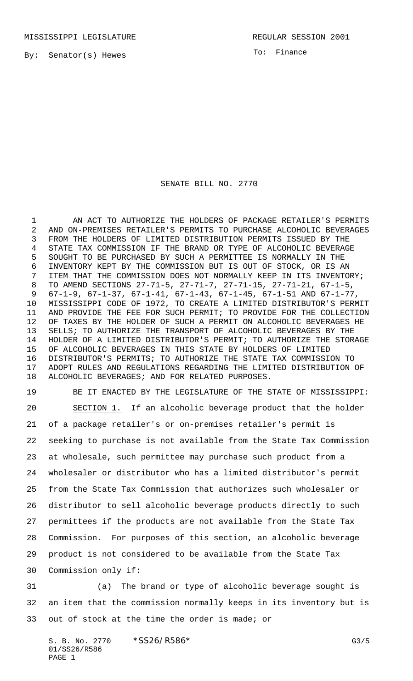By: Senator(s) Hewes

To: Finance

## SENATE BILL NO. 2770

1 AN ACT TO AUTHORIZE THE HOLDERS OF PACKAGE RETAILER'S PERMITS AND ON-PREMISES RETAILER'S PERMITS TO PURCHASE ALCOHOLIC BEVERAGES FROM THE HOLDERS OF LIMITED DISTRIBUTION PERMITS ISSUED BY THE STATE TAX COMMISSION IF THE BRAND OR TYPE OF ALCOHOLIC BEVERAGE SOUGHT TO BE PURCHASED BY SUCH A PERMITTEE IS NORMALLY IN THE INVENTORY KEPT BY THE COMMISSION BUT IS OUT OF STOCK, OR IS AN ITEM THAT THE COMMISSION DOES NOT NORMALLY KEEP IN ITS INVENTORY; TO AMEND SECTIONS 27-71-5, 27-71-7, 27-71-15, 27-71-21, 67-1-5, 67-1-9, 67-1-37, 67-1-41, 67-1-43, 67-1-45, 67-1-51 AND 67-1-77, MISSISSIPPI CODE OF 1972, TO CREATE A LIMITED DISTRIBUTOR'S PERMIT AND PROVIDE THE FEE FOR SUCH PERMIT; TO PROVIDE FOR THE COLLECTION OF TAXES BY THE HOLDER OF SUCH A PERMIT ON ALCOHOLIC BEVERAGES HE SELLS; TO AUTHORIZE THE TRANSPORT OF ALCOHOLIC BEVERAGES BY THE HOLDER OF A LIMITED DISTRIBUTOR'S PERMIT; TO AUTHORIZE THE STORAGE OF ALCOHOLIC BEVERAGES IN THIS STATE BY HOLDERS OF LIMITED DISTRIBUTOR'S PERMITS; TO AUTHORIZE THE STATE TAX COMMISSION TO ADOPT RULES AND REGULATIONS REGARDING THE LIMITED DISTRIBUTION OF ALCOHOLIC BEVERAGES; AND FOR RELATED PURPOSES.

 BE IT ENACTED BY THE LEGISLATURE OF THE STATE OF MISSISSIPPI: SECTION 1. If an alcoholic beverage product that the holder of a package retailer's or on-premises retailer's permit is seeking to purchase is not available from the State Tax Commission at wholesale, such permittee may purchase such product from a wholesaler or distributor who has a limited distributor's permit from the State Tax Commission that authorizes such wholesaler or distributor to sell alcoholic beverage products directly to such permittees if the products are not available from the State Tax Commission. For purposes of this section, an alcoholic beverage product is not considered to be available from the State Tax Commission only if:

 (a) The brand or type of alcoholic beverage sought is an item that the commission normally keeps in its inventory but is out of stock at the time the order is made; or

S. B. No. 2770 \* SS26/R586\* G3/5 01/SS26/R586 PAGE 1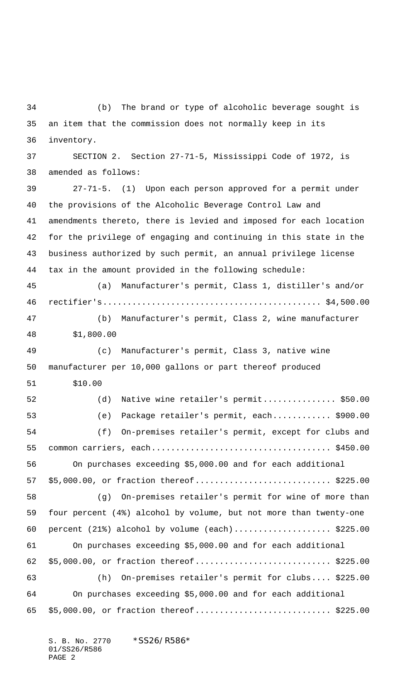(b) The brand or type of alcoholic beverage sought is an item that the commission does not normally keep in its inventory. SECTION 2. Section 27-71-5, Mississippi Code of 1972, is amended as follows: 27-71-5. (1) Upon each person approved for a permit under the provisions of the Alcoholic Beverage Control Law and amendments thereto, there is levied and imposed for each location for the privilege of engaging and continuing in this state in the business authorized by such permit, an annual privilege license tax in the amount provided in the following schedule: (a) Manufacturer's permit, Class 1, distiller's and/or rectifier's............................................. \$4,500.00 (b) Manufacturer's permit, Class 2, wine manufacturer \$1,800.00 (c) Manufacturer's permit, Class 3, native wine manufacturer per 10,000 gallons or part thereof produced \$10.00 (d) Native wine retailer's permit............... \$50.00 (e) Package retailer's permit, each............ \$900.00 (f) On-premises retailer's permit, except for clubs and common carriers, each..................................... \$450.00 On purchases exceeding \$5,000.00 and for each additional 57 \$5,000.00, or fraction thereof............................... \$225.00 (g) On-premises retailer's permit for wine of more than four percent (4%) alcohol by volume, but not more than twenty-one percent (21%) alcohol by volume (each).................... \$225.00 On purchases exceeding \$5,000.00 and for each additional \$5,000.00, or fraction thereof............................ \$225.00 (h) On-premises retailer's permit for clubs.... \$225.00 On purchases exceeding \$5,000.00 and for each additional 65 \$5,000.00, or fraction thereof............................... \$225.00

S. B. No. 2770 \*SS26/R586\* 01/SS26/R586 PAGE 2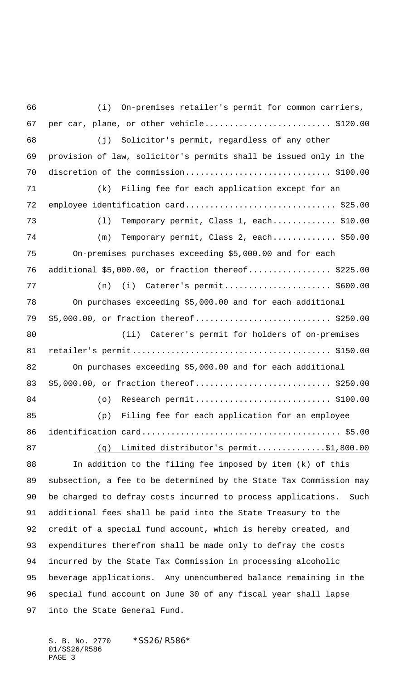(i) On-premises retailer's permit for common carriers, 67 per car, plane, or other vehicle...............................\$120.00 (j) Solicitor's permit, regardless of any other provision of law, solicitor's permits shall be issued only in the discretion of the commission.............................. \$100.00 (k) Filing fee for each application except for an 72 employee identification card...................................\$25.00 (l) Temporary permit, Class 1, each............. \$10.00 (m) Temporary permit, Class 2, each............. \$50.00 On-premises purchases exceeding \$5,000.00 and for each additional \$5,000.00, or fraction thereof................. \$225.00 (n) (i) Caterer's permit...................... \$600.00 On purchases exceeding \$5,000.00 and for each additional 79 \$5,000.00, or fraction thereof................................ \$250.00 (ii) Caterer's permit for holders of on-premises retailer's permit......................................... \$150.00 On purchases exceeding \$5,000.00 and for each additional 83 \$5,000.00, or fraction thereof................................ \$250.00 84 (o) Research permit..................................\$100.00 (p) Filing fee for each application for an employee identification card......................................... \$5.00 87 (q) Limited distributor's permit..............\$1,800.00 In addition to the filing fee imposed by item (k) of this subsection, a fee to be determined by the State Tax Commission may be charged to defray costs incurred to process applications. Such additional fees shall be paid into the State Treasury to the credit of a special fund account, which is hereby created, and expenditures therefrom shall be made only to defray the costs incurred by the State Tax Commission in processing alcoholic beverage applications. Any unencumbered balance remaining in the special fund account on June 30 of any fiscal year shall lapse into the State General Fund.

S. B. No. 2770 \* SS26/R586\* 01/SS26/R586 PAGE 3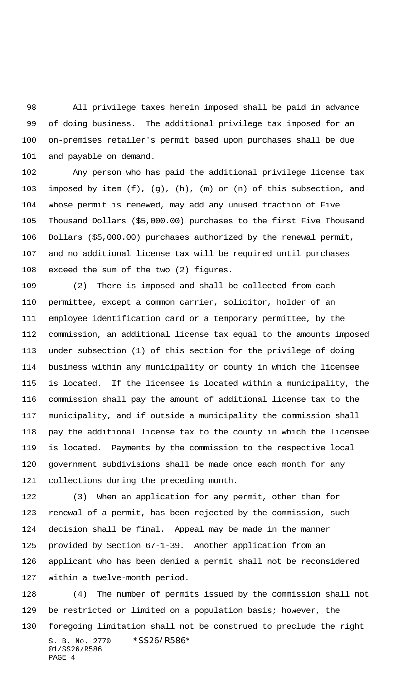All privilege taxes herein imposed shall be paid in advance of doing business. The additional privilege tax imposed for an on-premises retailer's permit based upon purchases shall be due and payable on demand.

 Any person who has paid the additional privilege license tax imposed by item (f), (g), (h), (m) or (n) of this subsection, and whose permit is renewed, may add any unused fraction of Five Thousand Dollars (\$5,000.00) purchases to the first Five Thousand Dollars (\$5,000.00) purchases authorized by the renewal permit, and no additional license tax will be required until purchases exceed the sum of the two (2) figures.

 (2) There is imposed and shall be collected from each permittee, except a common carrier, solicitor, holder of an employee identification card or a temporary permittee, by the commission, an additional license tax equal to the amounts imposed under subsection (1) of this section for the privilege of doing business within any municipality or county in which the licensee is located. If the licensee is located within a municipality, the commission shall pay the amount of additional license tax to the municipality, and if outside a municipality the commission shall pay the additional license tax to the county in which the licensee is located. Payments by the commission to the respective local government subdivisions shall be made once each month for any collections during the preceding month.

 (3) When an application for any permit, other than for renewal of a permit, has been rejected by the commission, such decision shall be final. Appeal may be made in the manner provided by Section 67-1-39. Another application from an applicant who has been denied a permit shall not be reconsidered within a twelve-month period.

S. B. No. 2770 \*SS26/R586\* 01/SS26/R586 PAGE 4 (4) The number of permits issued by the commission shall not be restricted or limited on a population basis; however, the foregoing limitation shall not be construed to preclude the right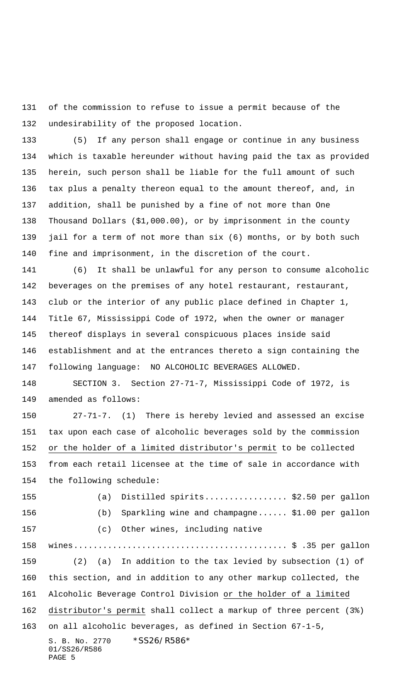of the commission to refuse to issue a permit because of the undesirability of the proposed location.

 (5) If any person shall engage or continue in any business which is taxable hereunder without having paid the tax as provided herein, such person shall be liable for the full amount of such tax plus a penalty thereon equal to the amount thereof, and, in addition, shall be punished by a fine of not more than One Thousand Dollars (\$1,000.00), or by imprisonment in the county jail for a term of not more than six (6) months, or by both such fine and imprisonment, in the discretion of the court.

 (6) It shall be unlawful for any person to consume alcoholic beverages on the premises of any hotel restaurant, restaurant, club or the interior of any public place defined in Chapter 1, Title 67, Mississippi Code of 1972, when the owner or manager thereof displays in several conspicuous places inside said establishment and at the entrances thereto a sign containing the following language: NO ALCOHOLIC BEVERAGES ALLOWED.

 SECTION 3. Section 27-71-7, Mississippi Code of 1972, is amended as follows:

 27-71-7. (1) There is hereby levied and assessed an excise tax upon each case of alcoholic beverages sold by the commission or the holder of a limited distributor's permit to be collected from each retail licensee at the time of sale in accordance with the following schedule:

S. B. No. 2770 \* SS26/R586\* (a) Distilled spirits................. \$2.50 per gallon (b) Sparkling wine and champagne...... \$1.00 per gallon (c) Other wines, including native wines............................................ \$ .35 per gallon (2) (a) In addition to the tax levied by subsection (1) of this section, and in addition to any other markup collected, the Alcoholic Beverage Control Division or the holder of a limited distributor's permit shall collect a markup of three percent (3%) on all alcoholic beverages, as defined in Section 67-1-5,

```
01/SS26/R586
PAGE 5
```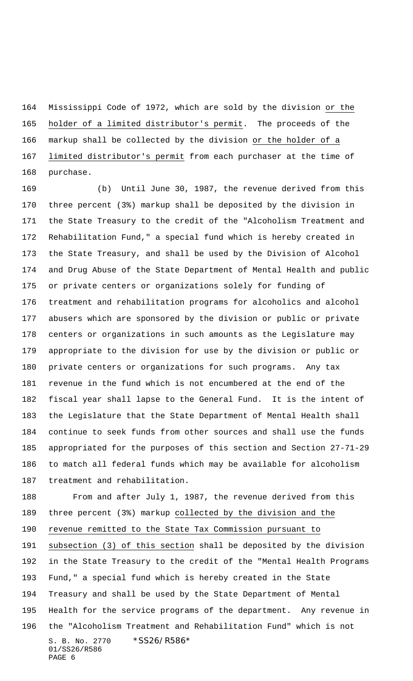Mississippi Code of 1972, which are sold by the division or the holder of a limited distributor's permit. The proceeds of the markup shall be collected by the division or the holder of a 167 limited distributor's permit from each purchaser at the time of purchase.

 (b) Until June 30, 1987, the revenue derived from this three percent (3%) markup shall be deposited by the division in the State Treasury to the credit of the "Alcoholism Treatment and Rehabilitation Fund," a special fund which is hereby created in the State Treasury, and shall be used by the Division of Alcohol and Drug Abuse of the State Department of Mental Health and public or private centers or organizations solely for funding of treatment and rehabilitation programs for alcoholics and alcohol abusers which are sponsored by the division or public or private centers or organizations in such amounts as the Legislature may appropriate to the division for use by the division or public or private centers or organizations for such programs. Any tax revenue in the fund which is not encumbered at the end of the fiscal year shall lapse to the General Fund. It is the intent of the Legislature that the State Department of Mental Health shall continue to seek funds from other sources and shall use the funds appropriated for the purposes of this section and Section 27-71-29 to match all federal funds which may be available for alcoholism treatment and rehabilitation.

S. B. No. 2770 \*SS26/R586\* 01/SS26/R586 PAGE 6 From and after July 1, 1987, the revenue derived from this three percent (3%) markup collected by the division and the revenue remitted to the State Tax Commission pursuant to subsection (3) of this section shall be deposited by the division in the State Treasury to the credit of the "Mental Health Programs Fund," a special fund which is hereby created in the State Treasury and shall be used by the State Department of Mental Health for the service programs of the department. Any revenue in the "Alcoholism Treatment and Rehabilitation Fund" which is not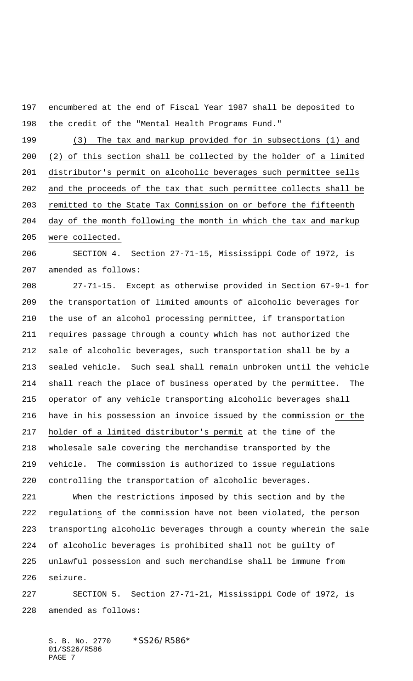encumbered at the end of Fiscal Year 1987 shall be deposited to the credit of the "Mental Health Programs Fund."

 (3) The tax and markup provided for in subsections (1) and (2) of this section shall be collected by the holder of a limited distributor's permit on alcoholic beverages such permittee sells and the proceeds of the tax that such permittee collects shall be remitted to the State Tax Commission on or before the fifteenth day of the month following the month in which the tax and markup were collected.

 SECTION 4. Section 27-71-15, Mississippi Code of 1972, is amended as follows:

 27-71-15. Except as otherwise provided in Section 67-9-1 for the transportation of limited amounts of alcoholic beverages for the use of an alcohol processing permittee, if transportation requires passage through a county which has not authorized the sale of alcoholic beverages, such transportation shall be by a sealed vehicle. Such seal shall remain unbroken until the vehicle shall reach the place of business operated by the permittee. The operator of any vehicle transporting alcoholic beverages shall have in his possession an invoice issued by the commission or the holder of a limited distributor's permit at the time of the wholesale sale covering the merchandise transported by the vehicle. The commission is authorized to issue regulations controlling the transportation of alcoholic beverages.

 When the restrictions imposed by this section and by the regulations of the commission have not been violated, the person transporting alcoholic beverages through a county wherein the sale of alcoholic beverages is prohibited shall not be guilty of unlawful possession and such merchandise shall be immune from seizure.

 SECTION 5. Section 27-71-21, Mississippi Code of 1972, is amended as follows:

S. B. No. 2770 \* SS26/R586\* 01/SS26/R586 PAGE 7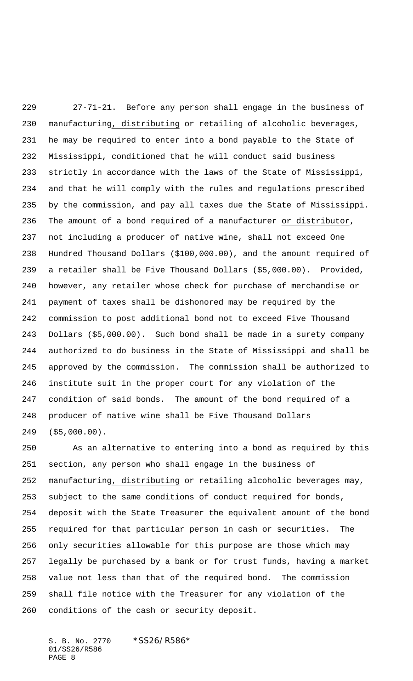27-71-21. Before any person shall engage in the business of manufacturing, distributing or retailing of alcoholic beverages, he may be required to enter into a bond payable to the State of Mississippi, conditioned that he will conduct said business strictly in accordance with the laws of the State of Mississippi, and that he will comply with the rules and regulations prescribed by the commission, and pay all taxes due the State of Mississippi. The amount of a bond required of a manufacturer or distributor, not including a producer of native wine, shall not exceed One Hundred Thousand Dollars (\$100,000.00), and the amount required of a retailer shall be Five Thousand Dollars (\$5,000.00). Provided, however, any retailer whose check for purchase of merchandise or payment of taxes shall be dishonored may be required by the commission to post additional bond not to exceed Five Thousand Dollars (\$5,000.00). Such bond shall be made in a surety company authorized to do business in the State of Mississippi and shall be approved by the commission. The commission shall be authorized to institute suit in the proper court for any violation of the condition of said bonds. The amount of the bond required of a producer of native wine shall be Five Thousand Dollars (\$5,000.00).

 As an alternative to entering into a bond as required by this section, any person who shall engage in the business of manufacturing, distributing or retailing alcoholic beverages may, subject to the same conditions of conduct required for bonds, deposit with the State Treasurer the equivalent amount of the bond required for that particular person in cash or securities. The only securities allowable for this purpose are those which may legally be purchased by a bank or for trust funds, having a market value not less than that of the required bond. The commission shall file notice with the Treasurer for any violation of the conditions of the cash or security deposit.

S. B. No. 2770 \*SS26/R586\* 01/SS26/R586 PAGE 8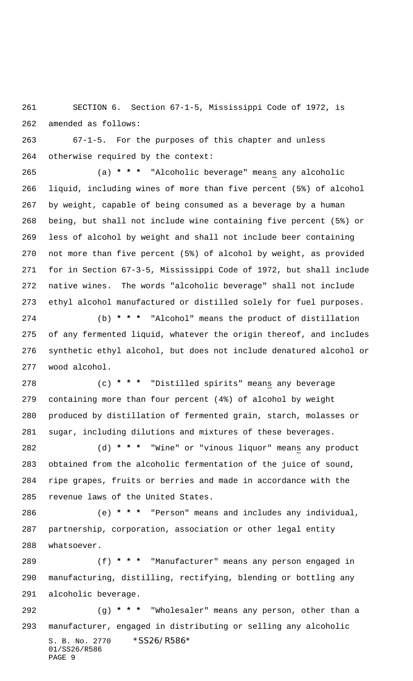SECTION 6. Section 67-1-5, Mississippi Code of 1972, is amended as follows:

 67-1-5. For the purposes of this chapter and unless otherwise required by the context:

 (a) **\* \* \*** "Alcoholic beverage" means any alcoholic liquid, including wines of more than five percent (5%) of alcohol by weight, capable of being consumed as a beverage by a human being, but shall not include wine containing five percent (5%) or less of alcohol by weight and shall not include beer containing not more than five percent (5%) of alcohol by weight, as provided for in Section 67-3-5, Mississippi Code of 1972, but shall include native wines. The words "alcoholic beverage" shall not include ethyl alcohol manufactured or distilled solely for fuel purposes.

 (b) **\* \* \*** "Alcohol" means the product of distillation of any fermented liquid, whatever the origin thereof, and includes synthetic ethyl alcohol, but does not include denatured alcohol or wood alcohol.

 (c) **\* \* \*** "Distilled spirits" means any beverage containing more than four percent (4%) of alcohol by weight produced by distillation of fermented grain, starch, molasses or sugar, including dilutions and mixtures of these beverages.

 (d) **\* \* \*** "Wine" or "vinous liquor" means any product obtained from the alcoholic fermentation of the juice of sound, ripe grapes, fruits or berries and made in accordance with the revenue laws of the United States.

 (e) **\* \* \*** "Person" means and includes any individual, partnership, corporation, association or other legal entity whatsoever.

 (f) **\* \* \*** "Manufacturer" means any person engaged in manufacturing, distilling, rectifying, blending or bottling any alcoholic beverage. (g) **\* \* \*** "Wholesaler" means any person, other than a manufacturer, engaged in distributing or selling any alcoholic

S. B. No. 2770 \*SS26/R586\* 01/SS26/R586 PAGE 9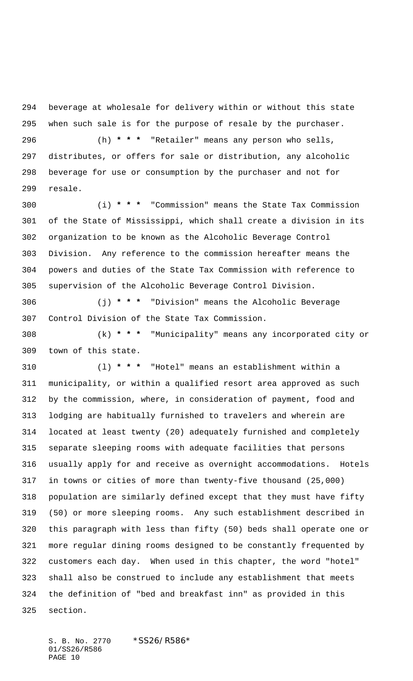beverage at wholesale for delivery within or without this state when such sale is for the purpose of resale by the purchaser.

 (h) **\* \* \*** "Retailer" means any person who sells, distributes, or offers for sale or distribution, any alcoholic beverage for use or consumption by the purchaser and not for resale.

 (i) **\* \* \*** "Commission" means the State Tax Commission of the State of Mississippi, which shall create a division in its organization to be known as the Alcoholic Beverage Control Division. Any reference to the commission hereafter means the powers and duties of the State Tax Commission with reference to supervision of the Alcoholic Beverage Control Division.

 (j) **\* \* \*** "Division" means the Alcoholic Beverage Control Division of the State Tax Commission.

 (k) **\* \* \*** "Municipality" means any incorporated city or town of this state.

 (l) **\* \* \*** "Hotel" means an establishment within a municipality, or within a qualified resort area approved as such by the commission, where, in consideration of payment, food and lodging are habitually furnished to travelers and wherein are located at least twenty (20) adequately furnished and completely separate sleeping rooms with adequate facilities that persons usually apply for and receive as overnight accommodations. Hotels in towns or cities of more than twenty-five thousand (25,000) population are similarly defined except that they must have fifty (50) or more sleeping rooms. Any such establishment described in this paragraph with less than fifty (50) beds shall operate one or more regular dining rooms designed to be constantly frequented by customers each day. When used in this chapter, the word "hotel" shall also be construed to include any establishment that meets the definition of "bed and breakfast inn" as provided in this section.

S. B. No. 2770 \* SS26/R586\* 01/SS26/R586 PAGE 10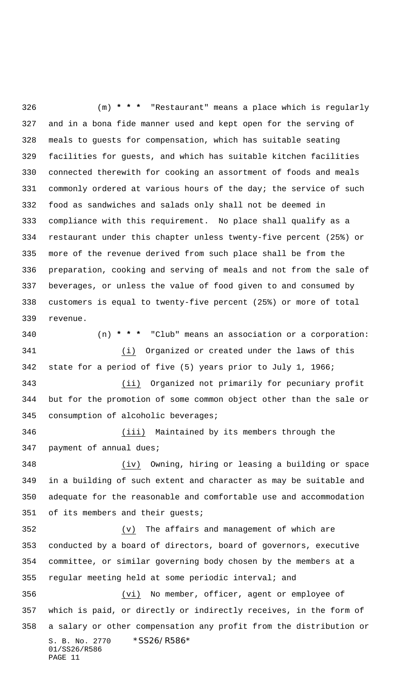(m) **\* \* \*** "Restaurant" means a place which is regularly and in a bona fide manner used and kept open for the serving of meals to guests for compensation, which has suitable seating facilities for guests, and which has suitable kitchen facilities connected therewith for cooking an assortment of foods and meals 331 commonly ordered at various hours of the day; the service of such food as sandwiches and salads only shall not be deemed in compliance with this requirement. No place shall qualify as a restaurant under this chapter unless twenty-five percent (25%) or more of the revenue derived from such place shall be from the preparation, cooking and serving of meals and not from the sale of beverages, or unless the value of food given to and consumed by customers is equal to twenty-five percent (25%) or more of total revenue. (n) **\* \* \*** "Club" means an association or a corporation: (i) Organized or created under the laws of this state for a period of five (5) years prior to July 1, 1966; (ii) Organized not primarily for pecuniary profit but for the promotion of some common object other than the sale or

consumption of alcoholic beverages;

 (iii) Maintained by its members through the payment of annual dues;

 (iv) Owning, hiring or leasing a building or space in a building of such extent and character as may be suitable and adequate for the reasonable and comfortable use and accommodation of its members and their guests;

 (v) The affairs and management of which are conducted by a board of directors, board of governors, executive committee, or similar governing body chosen by the members at a regular meeting held at some periodic interval; and

S. B. No. 2770 \* SS26/R586\* 01/SS26/R586 PAGE 11 (vi) No member, officer, agent or employee of which is paid, or directly or indirectly receives, in the form of a salary or other compensation any profit from the distribution or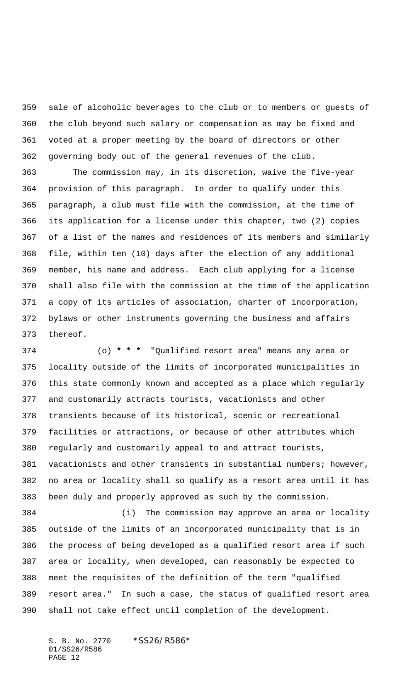sale of alcoholic beverages to the club or to members or guests of the club beyond such salary or compensation as may be fixed and voted at a proper meeting by the board of directors or other governing body out of the general revenues of the club.

 The commission may, in its discretion, waive the five-year provision of this paragraph. In order to qualify under this paragraph, a club must file with the commission, at the time of its application for a license under this chapter, two (2) copies of a list of the names and residences of its members and similarly file, within ten (10) days after the election of any additional member, his name and address. Each club applying for a license shall also file with the commission at the time of the application a copy of its articles of association, charter of incorporation, bylaws or other instruments governing the business and affairs thereof.

 (o) **\* \* \*** "Qualified resort area" means any area or locality outside of the limits of incorporated municipalities in this state commonly known and accepted as a place which regularly and customarily attracts tourists, vacationists and other transients because of its historical, scenic or recreational facilities or attractions, or because of other attributes which regularly and customarily appeal to and attract tourists, vacationists and other transients in substantial numbers; however, no area or locality shall so qualify as a resort area until it has been duly and properly approved as such by the commission.

 (i) The commission may approve an area or locality outside of the limits of an incorporated municipality that is in the process of being developed as a qualified resort area if such area or locality, when developed, can reasonably be expected to meet the requisites of the definition of the term "qualified resort area." In such a case, the status of qualified resort area shall not take effect until completion of the development.

S. B. No. 2770 \*SS26/R586\* 01/SS26/R586 PAGE 12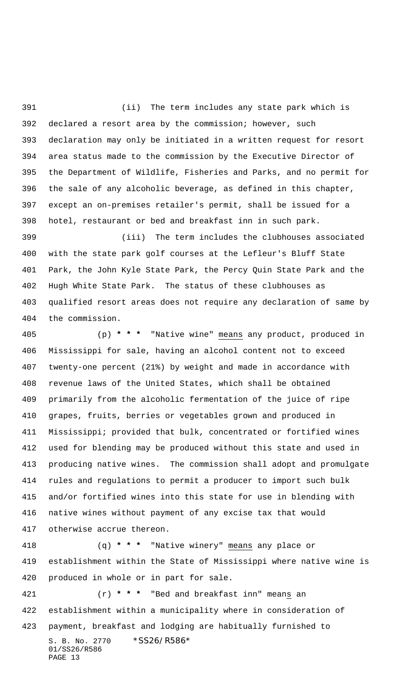(ii) The term includes any state park which is declared a resort area by the commission; however, such declaration may only be initiated in a written request for resort area status made to the commission by the Executive Director of the Department of Wildlife, Fisheries and Parks, and no permit for the sale of any alcoholic beverage, as defined in this chapter, except an on-premises retailer's permit, shall be issued for a hotel, restaurant or bed and breakfast inn in such park.

 (iii) The term includes the clubhouses associated with the state park golf courses at the Lefleur's Bluff State Park, the John Kyle State Park, the Percy Quin State Park and the Hugh White State Park. The status of these clubhouses as qualified resort areas does not require any declaration of same by the commission.

 (p) **\* \* \*** "Native wine" means any product, produced in Mississippi for sale, having an alcohol content not to exceed twenty-one percent (21%) by weight and made in accordance with revenue laws of the United States, which shall be obtained primarily from the alcoholic fermentation of the juice of ripe grapes, fruits, berries or vegetables grown and produced in Mississippi; provided that bulk, concentrated or fortified wines used for blending may be produced without this state and used in producing native wines. The commission shall adopt and promulgate rules and regulations to permit a producer to import such bulk and/or fortified wines into this state for use in blending with native wines without payment of any excise tax that would otherwise accrue thereon.

 (q) **\* \* \*** "Native winery" means any place or establishment within the State of Mississippi where native wine is produced in whole or in part for sale.

S. B. No. 2770 \*SS26/R586\* 01/SS26/R586 PAGE 13 (r) **\* \* \*** "Bed and breakfast inn" means an establishment within a municipality where in consideration of payment, breakfast and lodging are habitually furnished to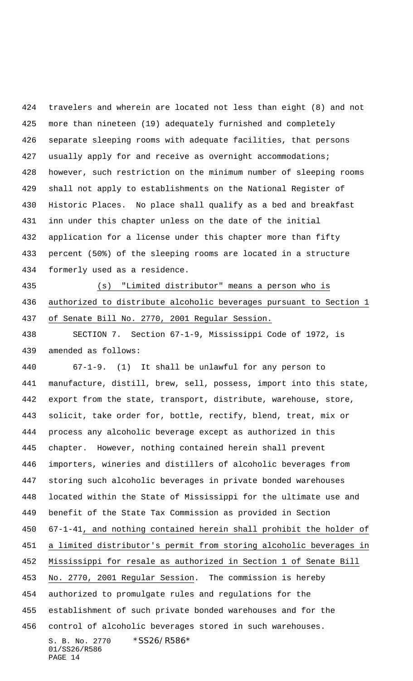travelers and wherein are located not less than eight (8) and not more than nineteen (19) adequately furnished and completely separate sleeping rooms with adequate facilities, that persons 427 usually apply for and receive as overnight accommodations; however, such restriction on the minimum number of sleeping rooms shall not apply to establishments on the National Register of Historic Places. No place shall qualify as a bed and breakfast inn under this chapter unless on the date of the initial application for a license under this chapter more than fifty percent (50%) of the sleeping rooms are located in a structure formerly used as a residence.

 (s) "Limited distributor" means a person who is authorized to distribute alcoholic beverages pursuant to Section 1 of Senate Bill No. 2770, 2001 Regular Session.

 SECTION 7. Section 67-1-9, Mississippi Code of 1972, is amended as follows:

S. B. No. 2770 \* SS26/R586\* 01/SS26/R586 67-1-9. (1) It shall be unlawful for any person to manufacture, distill, brew, sell, possess, import into this state, export from the state, transport, distribute, warehouse, store, solicit, take order for, bottle, rectify, blend, treat, mix or process any alcoholic beverage except as authorized in this chapter. However, nothing contained herein shall prevent importers, wineries and distillers of alcoholic beverages from storing such alcoholic beverages in private bonded warehouses located within the State of Mississippi for the ultimate use and benefit of the State Tax Commission as provided in Section 67-1-41, and nothing contained herein shall prohibit the holder of a limited distributor's permit from storing alcoholic beverages in Mississippi for resale as authorized in Section 1 of Senate Bill 453 No. 2770, 2001 Regular Session. The commission is hereby authorized to promulgate rules and regulations for the establishment of such private bonded warehouses and for the control of alcoholic beverages stored in such warehouses.

PAGE 14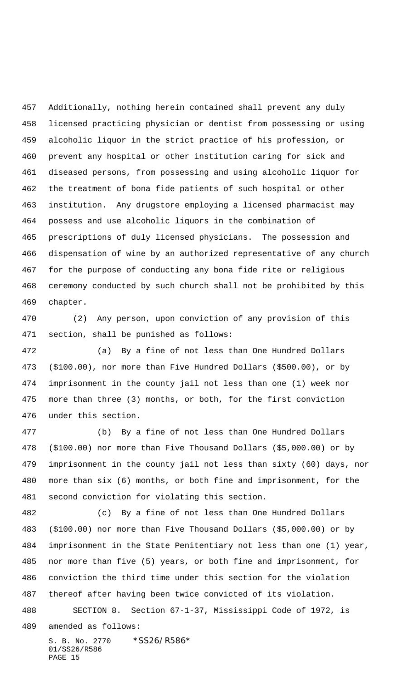Additionally, nothing herein contained shall prevent any duly licensed practicing physician or dentist from possessing or using alcoholic liquor in the strict practice of his profession, or prevent any hospital or other institution caring for sick and diseased persons, from possessing and using alcoholic liquor for the treatment of bona fide patients of such hospital or other institution. Any drugstore employing a licensed pharmacist may possess and use alcoholic liquors in the combination of prescriptions of duly licensed physicians. The possession and dispensation of wine by an authorized representative of any church for the purpose of conducting any bona fide rite or religious ceremony conducted by such church shall not be prohibited by this chapter.

 (2) Any person, upon conviction of any provision of this section, shall be punished as follows:

 (a) By a fine of not less than One Hundred Dollars (\$100.00), nor more than Five Hundred Dollars (\$500.00), or by imprisonment in the county jail not less than one (1) week nor more than three (3) months, or both, for the first conviction under this section.

 (b) By a fine of not less than One Hundred Dollars (\$100.00) nor more than Five Thousand Dollars (\$5,000.00) or by imprisonment in the county jail not less than sixty (60) days, nor more than six (6) months, or both fine and imprisonment, for the second conviction for violating this section.

 (c) By a fine of not less than One Hundred Dollars (\$100.00) nor more than Five Thousand Dollars (\$5,000.00) or by imprisonment in the State Penitentiary not less than one (1) year, nor more than five (5) years, or both fine and imprisonment, for conviction the third time under this section for the violation thereof after having been twice convicted of its violation. SECTION 8. Section 67-1-37, Mississippi Code of 1972, is

amended as follows:

S. B. No. 2770 \*SS26/R586\* 01/SS26/R586 PAGE 15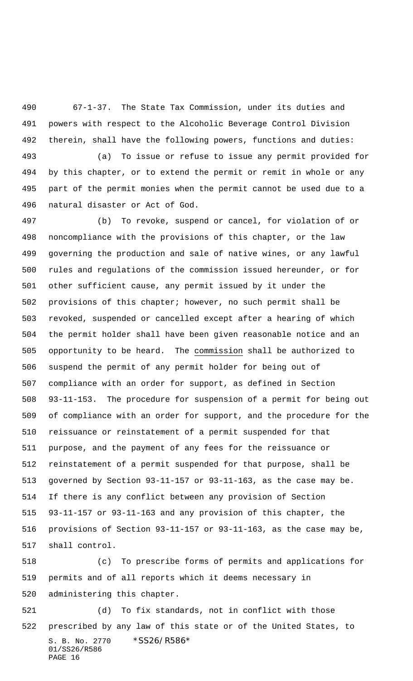67-1-37. The State Tax Commission, under its duties and powers with respect to the Alcoholic Beverage Control Division therein, shall have the following powers, functions and duties:

 (a) To issue or refuse to issue any permit provided for by this chapter, or to extend the permit or remit in whole or any part of the permit monies when the permit cannot be used due to a natural disaster or Act of God.

 (b) To revoke, suspend or cancel, for violation of or noncompliance with the provisions of this chapter, or the law governing the production and sale of native wines, or any lawful rules and regulations of the commission issued hereunder, or for other sufficient cause, any permit issued by it under the provisions of this chapter; however, no such permit shall be revoked, suspended or cancelled except after a hearing of which the permit holder shall have been given reasonable notice and an opportunity to be heard. The commission shall be authorized to suspend the permit of any permit holder for being out of compliance with an order for support, as defined in Section 93-11-153. The procedure for suspension of a permit for being out of compliance with an order for support, and the procedure for the reissuance or reinstatement of a permit suspended for that purpose, and the payment of any fees for the reissuance or reinstatement of a permit suspended for that purpose, shall be governed by Section 93-11-157 or 93-11-163, as the case may be. If there is any conflict between any provision of Section 93-11-157 or 93-11-163 and any provision of this chapter, the provisions of Section 93-11-157 or 93-11-163, as the case may be, shall control.

 (c) To prescribe forms of permits and applications for permits and of all reports which it deems necessary in administering this chapter.

S. B. No. 2770 \* SS26/R586\* 01/SS26/R586 PAGE 16 (d) To fix standards, not in conflict with those prescribed by any law of this state or of the United States, to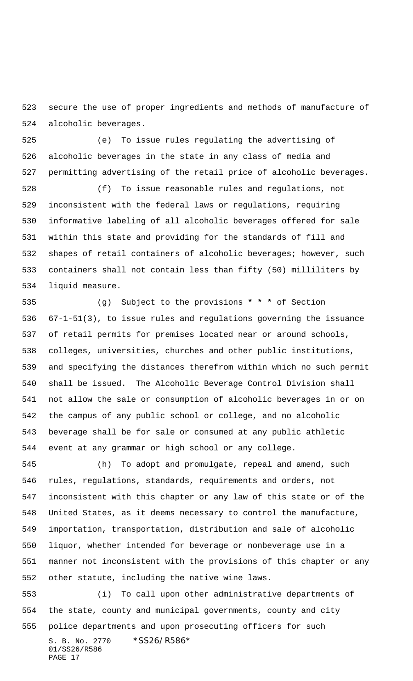secure the use of proper ingredients and methods of manufacture of alcoholic beverages.

 (e) To issue rules regulating the advertising of alcoholic beverages in the state in any class of media and permitting advertising of the retail price of alcoholic beverages.

 (f) To issue reasonable rules and regulations, not inconsistent with the federal laws or regulations, requiring informative labeling of all alcoholic beverages offered for sale within this state and providing for the standards of fill and shapes of retail containers of alcoholic beverages; however, such containers shall not contain less than fifty (50) milliliters by liquid measure.

 (g) Subject to the provisions **\* \* \*** of Section 67-1-51(3), to issue rules and regulations governing the issuance of retail permits for premises located near or around schools, colleges, universities, churches and other public institutions, and specifying the distances therefrom within which no such permit shall be issued. The Alcoholic Beverage Control Division shall not allow the sale or consumption of alcoholic beverages in or on the campus of any public school or college, and no alcoholic beverage shall be for sale or consumed at any public athletic event at any grammar or high school or any college.

 (h) To adopt and promulgate, repeal and amend, such rules, regulations, standards, requirements and orders, not inconsistent with this chapter or any law of this state or of the United States, as it deems necessary to control the manufacture, importation, transportation, distribution and sale of alcoholic liquor, whether intended for beverage or nonbeverage use in a manner not inconsistent with the provisions of this chapter or any other statute, including the native wine laws.

S. B. No. 2770 \* SS26/R586\* 01/SS26/R586 PAGE 17 (i) To call upon other administrative departments of the state, county and municipal governments, county and city police departments and upon prosecuting officers for such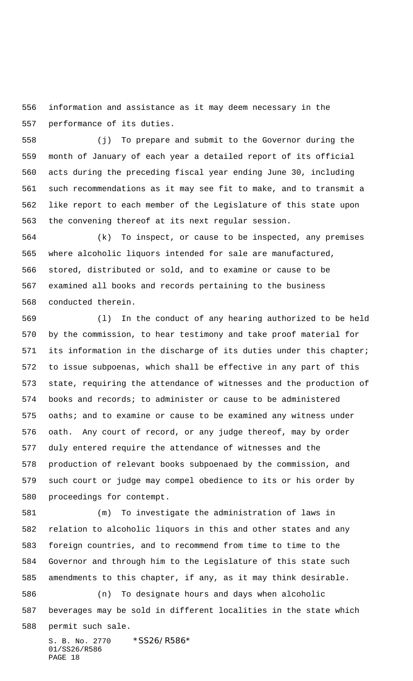information and assistance as it may deem necessary in the performance of its duties.

 (j) To prepare and submit to the Governor during the month of January of each year a detailed report of its official acts during the preceding fiscal year ending June 30, including such recommendations as it may see fit to make, and to transmit a like report to each member of the Legislature of this state upon the convening thereof at its next regular session.

 (k) To inspect, or cause to be inspected, any premises where alcoholic liquors intended for sale are manufactured, stored, distributed or sold, and to examine or cause to be examined all books and records pertaining to the business conducted therein.

 (l) In the conduct of any hearing authorized to be held by the commission, to hear testimony and take proof material for its information in the discharge of its duties under this chapter; to issue subpoenas, which shall be effective in any part of this state, requiring the attendance of witnesses and the production of books and records; to administer or cause to be administered 575 oaths; and to examine or cause to be examined any witness under oath. Any court of record, or any judge thereof, may by order duly entered require the attendance of witnesses and the production of relevant books subpoenaed by the commission, and such court or judge may compel obedience to its or his order by proceedings for contempt.

S. B. No. 2770 \*SS26/R586\* (m) To investigate the administration of laws in relation to alcoholic liquors in this and other states and any foreign countries, and to recommend from time to time to the Governor and through him to the Legislature of this state such amendments to this chapter, if any, as it may think desirable. (n) To designate hours and days when alcoholic beverages may be sold in different localities in the state which permit such sale.

01/SS26/R586 PAGE 18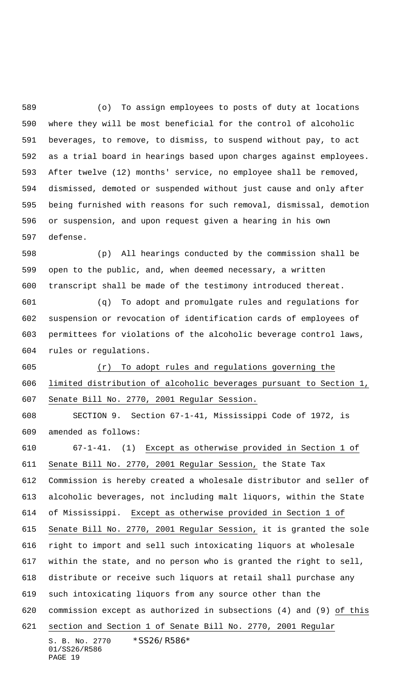(o) To assign employees to posts of duty at locations where they will be most beneficial for the control of alcoholic beverages, to remove, to dismiss, to suspend without pay, to act as a trial board in hearings based upon charges against employees. After twelve (12) months' service, no employee shall be removed, dismissed, demoted or suspended without just cause and only after being furnished with reasons for such removal, dismissal, demotion or suspension, and upon request given a hearing in his own defense.

 (p) All hearings conducted by the commission shall be open to the public, and, when deemed necessary, a written transcript shall be made of the testimony introduced thereat.

 (q) To adopt and promulgate rules and regulations for suspension or revocation of identification cards of employees of permittees for violations of the alcoholic beverage control laws, rules or regulations.

 (r) To adopt rules and regulations governing the limited distribution of alcoholic beverages pursuant to Section 1, Senate Bill No. 2770, 2001 Regular Session.

 SECTION 9. Section 67-1-41, Mississippi Code of 1972, is amended as follows:

S. B. No. 2770 \* SS26/R586\* 67-1-41. (1) Except as otherwise provided in Section 1 of Senate Bill No. 2770, 2001 Regular Session, the State Tax Commission is hereby created a wholesale distributor and seller of alcoholic beverages, not including malt liquors, within the State of Mississippi. Except as otherwise provided in Section 1 of Senate Bill No. 2770, 2001 Regular Session, it is granted the sole right to import and sell such intoxicating liquors at wholesale within the state, and no person who is granted the right to sell, distribute or receive such liquors at retail shall purchase any such intoxicating liquors from any source other than the commission except as authorized in subsections (4) and (9) of this section and Section 1 of Senate Bill No. 2770, 2001 Regular

```
01/SS26/R586
PAGE 19
```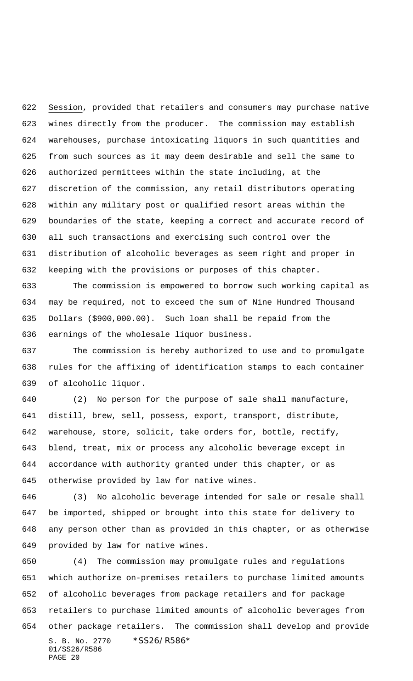Session, provided that retailers and consumers may purchase native wines directly from the producer. The commission may establish warehouses, purchase intoxicating liquors in such quantities and from such sources as it may deem desirable and sell the same to authorized permittees within the state including, at the discretion of the commission, any retail distributors operating within any military post or qualified resort areas within the boundaries of the state, keeping a correct and accurate record of all such transactions and exercising such control over the distribution of alcoholic beverages as seem right and proper in keeping with the provisions or purposes of this chapter.

 The commission is empowered to borrow such working capital as may be required, not to exceed the sum of Nine Hundred Thousand Dollars (\$900,000.00). Such loan shall be repaid from the earnings of the wholesale liquor business.

 The commission is hereby authorized to use and to promulgate rules for the affixing of identification stamps to each container of alcoholic liquor.

 (2) No person for the purpose of sale shall manufacture, distill, brew, sell, possess, export, transport, distribute, warehouse, store, solicit, take orders for, bottle, rectify, blend, treat, mix or process any alcoholic beverage except in accordance with authority granted under this chapter, or as otherwise provided by law for native wines.

 (3) No alcoholic beverage intended for sale or resale shall be imported, shipped or brought into this state for delivery to any person other than as provided in this chapter, or as otherwise provided by law for native wines.

S. B. No. 2770 \*SS26/R586\* 01/SS26/R586 PAGE 20 (4) The commission may promulgate rules and regulations which authorize on-premises retailers to purchase limited amounts of alcoholic beverages from package retailers and for package retailers to purchase limited amounts of alcoholic beverages from other package retailers. The commission shall develop and provide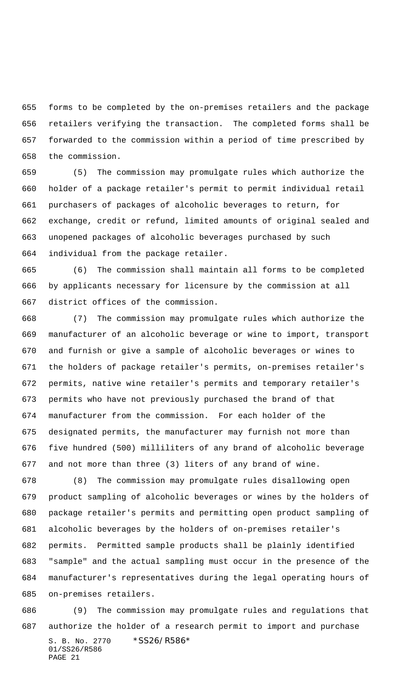forms to be completed by the on-premises retailers and the package retailers verifying the transaction. The completed forms shall be forwarded to the commission within a period of time prescribed by the commission.

 (5) The commission may promulgate rules which authorize the holder of a package retailer's permit to permit individual retail purchasers of packages of alcoholic beverages to return, for exchange, credit or refund, limited amounts of original sealed and unopened packages of alcoholic beverages purchased by such individual from the package retailer.

 (6) The commission shall maintain all forms to be completed by applicants necessary for licensure by the commission at all district offices of the commission.

 (7) The commission may promulgate rules which authorize the manufacturer of an alcoholic beverage or wine to import, transport and furnish or give a sample of alcoholic beverages or wines to the holders of package retailer's permits, on-premises retailer's permits, native wine retailer's permits and temporary retailer's permits who have not previously purchased the brand of that manufacturer from the commission. For each holder of the designated permits, the manufacturer may furnish not more than five hundred (500) milliliters of any brand of alcoholic beverage and not more than three (3) liters of any brand of wine.

 (8) The commission may promulgate rules disallowing open product sampling of alcoholic beverages or wines by the holders of package retailer's permits and permitting open product sampling of alcoholic beverages by the holders of on-premises retailer's permits. Permitted sample products shall be plainly identified "sample" and the actual sampling must occur in the presence of the manufacturer's representatives during the legal operating hours of on-premises retailers.

S. B. No. 2770 \*SS26/R586\* 01/SS26/R586 PAGE 21 (9) The commission may promulgate rules and regulations that authorize the holder of a research permit to import and purchase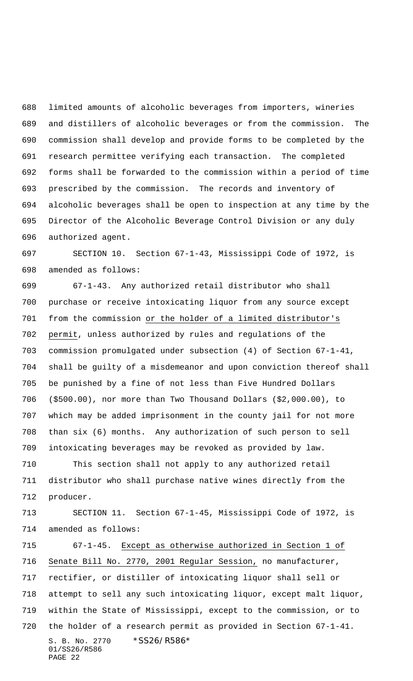limited amounts of alcoholic beverages from importers, wineries and distillers of alcoholic beverages or from the commission. The commission shall develop and provide forms to be completed by the research permittee verifying each transaction. The completed forms shall be forwarded to the commission within a period of time prescribed by the commission. The records and inventory of alcoholic beverages shall be open to inspection at any time by the Director of the Alcoholic Beverage Control Division or any duly authorized agent.

 SECTION 10. Section 67-1-43, Mississippi Code of 1972, is amended as follows:

 67-1-43. Any authorized retail distributor who shall purchase or receive intoxicating liquor from any source except from the commission or the holder of a limited distributor's permit, unless authorized by rules and regulations of the commission promulgated under subsection (4) of Section 67-1-41, shall be guilty of a misdemeanor and upon conviction thereof shall be punished by a fine of not less than Five Hundred Dollars (\$500.00), nor more than Two Thousand Dollars (\$2,000.00), to which may be added imprisonment in the county jail for not more than six (6) months. Any authorization of such person to sell intoxicating beverages may be revoked as provided by law.

 This section shall not apply to any authorized retail distributor who shall purchase native wines directly from the producer.

 SECTION 11. Section 67-1-45, Mississippi Code of 1972, is amended as follows:

S. B. No. 2770 \* SS26/R586\* 01/SS26/R586 PAGE 22 67-1-45. Except as otherwise authorized in Section 1 of Senate Bill No. 2770, 2001 Regular Session, no manufacturer, rectifier, or distiller of intoxicating liquor shall sell or attempt to sell any such intoxicating liquor, except malt liquor, within the State of Mississippi, except to the commission, or to the holder of a research permit as provided in Section 67-1-41.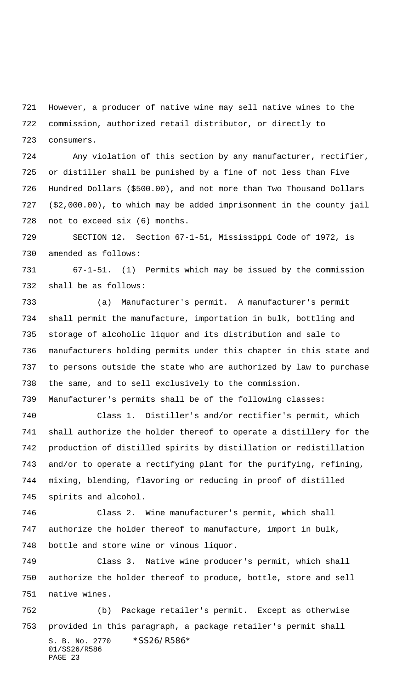However, a producer of native wine may sell native wines to the commission, authorized retail distributor, or directly to consumers.

 Any violation of this section by any manufacturer, rectifier, or distiller shall be punished by a fine of not less than Five Hundred Dollars (\$500.00), and not more than Two Thousand Dollars (\$2,000.00), to which may be added imprisonment in the county jail not to exceed six (6) months.

 SECTION 12. Section 67-1-51, Mississippi Code of 1972, is amended as follows:

 67-1-51. (1) Permits which may be issued by the commission shall be as follows:

 (a) Manufacturer's permit. A manufacturer's permit shall permit the manufacture, importation in bulk, bottling and storage of alcoholic liquor and its distribution and sale to manufacturers holding permits under this chapter in this state and to persons outside the state who are authorized by law to purchase the same, and to sell exclusively to the commission.

Manufacturer's permits shall be of the following classes:

 Class 1. Distiller's and/or rectifier's permit, which shall authorize the holder thereof to operate a distillery for the production of distilled spirits by distillation or redistillation and/or to operate a rectifying plant for the purifying, refining, mixing, blending, flavoring or reducing in proof of distilled spirits and alcohol.

 Class 2. Wine manufacturer's permit, which shall authorize the holder thereof to manufacture, import in bulk, bottle and store wine or vinous liquor.

 Class 3. Native wine producer's permit, which shall authorize the holder thereof to produce, bottle, store and sell native wines.

S. B. No. 2770 \*SS26/R586\* 01/SS26/R586 PAGE 23 (b) Package retailer's permit. Except as otherwise provided in this paragraph, a package retailer's permit shall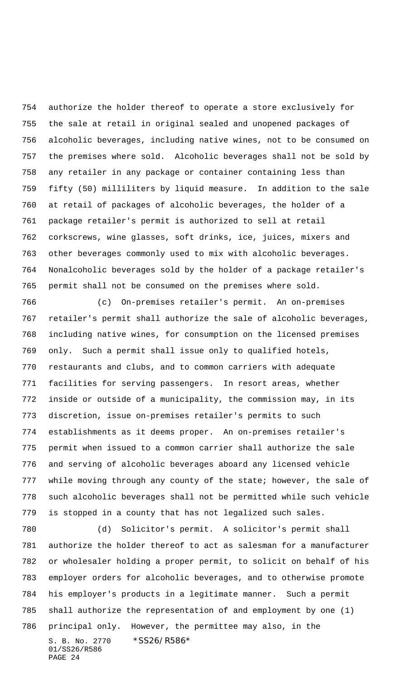authorize the holder thereof to operate a store exclusively for the sale at retail in original sealed and unopened packages of alcoholic beverages, including native wines, not to be consumed on the premises where sold. Alcoholic beverages shall not be sold by any retailer in any package or container containing less than fifty (50) milliliters by liquid measure. In addition to the sale at retail of packages of alcoholic beverages, the holder of a package retailer's permit is authorized to sell at retail corkscrews, wine glasses, soft drinks, ice, juices, mixers and other beverages commonly used to mix with alcoholic beverages. Nonalcoholic beverages sold by the holder of a package retailer's permit shall not be consumed on the premises where sold.

 (c) On-premises retailer's permit. An on-premises retailer's permit shall authorize the sale of alcoholic beverages, including native wines, for consumption on the licensed premises only. Such a permit shall issue only to qualified hotels, restaurants and clubs, and to common carriers with adequate facilities for serving passengers. In resort areas, whether inside or outside of a municipality, the commission may, in its discretion, issue on-premises retailer's permits to such establishments as it deems proper. An on-premises retailer's permit when issued to a common carrier shall authorize the sale and serving of alcoholic beverages aboard any licensed vehicle while moving through any county of the state; however, the sale of such alcoholic beverages shall not be permitted while such vehicle is stopped in a county that has not legalized such sales.

S. B. No. 2770 \*SS26/R586\* 01/SS26/R586 PAGE 24 (d) Solicitor's permit. A solicitor's permit shall authorize the holder thereof to act as salesman for a manufacturer or wholesaler holding a proper permit, to solicit on behalf of his employer orders for alcoholic beverages, and to otherwise promote his employer's products in a legitimate manner. Such a permit shall authorize the representation of and employment by one (1) principal only. However, the permittee may also, in the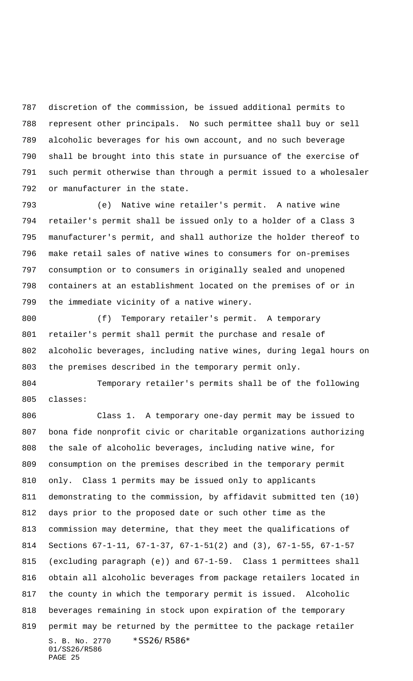discretion of the commission, be issued additional permits to represent other principals. No such permittee shall buy or sell alcoholic beverages for his own account, and no such beverage shall be brought into this state in pursuance of the exercise of such permit otherwise than through a permit issued to a wholesaler or manufacturer in the state.

 (e) Native wine retailer's permit. A native wine retailer's permit shall be issued only to a holder of a Class 3 manufacturer's permit, and shall authorize the holder thereof to make retail sales of native wines to consumers for on-premises consumption or to consumers in originally sealed and unopened containers at an establishment located on the premises of or in the immediate vicinity of a native winery.

 (f) Temporary retailer's permit. A temporary retailer's permit shall permit the purchase and resale of alcoholic beverages, including native wines, during legal hours on the premises described in the temporary permit only.

 Temporary retailer's permits shall be of the following classes:

S. B. No. 2770 \* SS26/R586\* 01/SS26/R586 PAGE 25 Class 1. A temporary one-day permit may be issued to bona fide nonprofit civic or charitable organizations authorizing the sale of alcoholic beverages, including native wine, for consumption on the premises described in the temporary permit only. Class 1 permits may be issued only to applicants demonstrating to the commission, by affidavit submitted ten (10) days prior to the proposed date or such other time as the commission may determine, that they meet the qualifications of Sections 67-1-11, 67-1-37, 67-1-51(2) and (3), 67-1-55, 67-1-57 (excluding paragraph (e)) and 67-1-59. Class 1 permittees shall obtain all alcoholic beverages from package retailers located in the county in which the temporary permit is issued. Alcoholic beverages remaining in stock upon expiration of the temporary permit may be returned by the permittee to the package retailer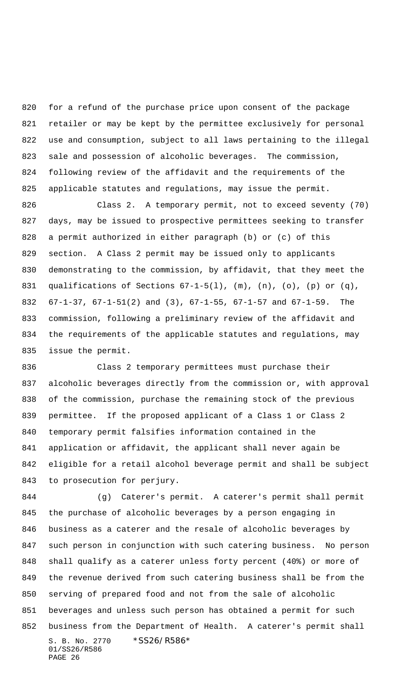for a refund of the purchase price upon consent of the package retailer or may be kept by the permittee exclusively for personal use and consumption, subject to all laws pertaining to the illegal sale and possession of alcoholic beverages. The commission, following review of the affidavit and the requirements of the 825 applicable statutes and regulations, may issue the permit.

 Class 2. A temporary permit, not to exceed seventy (70) days, may be issued to prospective permittees seeking to transfer a permit authorized in either paragraph (b) or (c) of this section. A Class 2 permit may be issued only to applicants demonstrating to the commission, by affidavit, that they meet the 831 qualifications of Sections  $67-1-5(1)$ ,  $(m)$ ,  $(n)$ ,  $(o)$ ,  $(p)$  or  $(q)$ , 67-1-37, 67-1-51(2) and (3), 67-1-55, 67-1-57 and 67-1-59. The commission, following a preliminary review of the affidavit and the requirements of the applicable statutes and regulations, may issue the permit.

 Class 2 temporary permittees must purchase their alcoholic beverages directly from the commission or, with approval of the commission, purchase the remaining stock of the previous permittee. If the proposed applicant of a Class 1 or Class 2 temporary permit falsifies information contained in the application or affidavit, the applicant shall never again be eligible for a retail alcohol beverage permit and shall be subject to prosecution for perjury.

S. B. No. 2770 \*SS26/R586\* 01/SS26/R586 PAGE 26 (g) Caterer's permit. A caterer's permit shall permit the purchase of alcoholic beverages by a person engaging in business as a caterer and the resale of alcoholic beverages by such person in conjunction with such catering business. No person shall qualify as a caterer unless forty percent (40%) or more of the revenue derived from such catering business shall be from the serving of prepared food and not from the sale of alcoholic beverages and unless such person has obtained a permit for such business from the Department of Health. A caterer's permit shall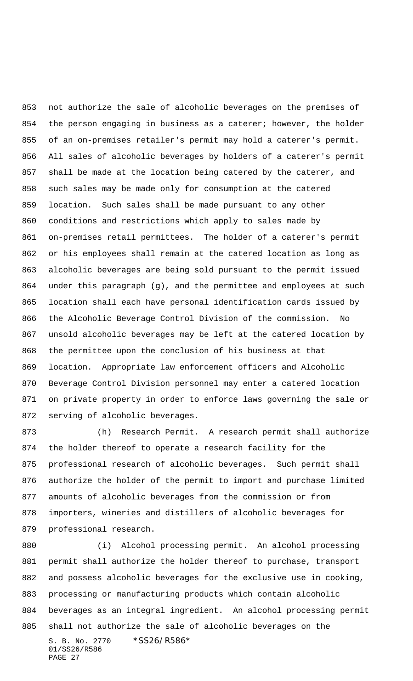not authorize the sale of alcoholic beverages on the premises of 854 the person engaging in business as a caterer; however, the holder of an on-premises retailer's permit may hold a caterer's permit. All sales of alcoholic beverages by holders of a caterer's permit shall be made at the location being catered by the caterer, and such sales may be made only for consumption at the catered location. Such sales shall be made pursuant to any other conditions and restrictions which apply to sales made by on-premises retail permittees. The holder of a caterer's permit or his employees shall remain at the catered location as long as alcoholic beverages are being sold pursuant to the permit issued under this paragraph (g), and the permittee and employees at such location shall each have personal identification cards issued by the Alcoholic Beverage Control Division of the commission. No unsold alcoholic beverages may be left at the catered location by the permittee upon the conclusion of his business at that location. Appropriate law enforcement officers and Alcoholic Beverage Control Division personnel may enter a catered location on private property in order to enforce laws governing the sale or serving of alcoholic beverages.

 (h) Research Permit. A research permit shall authorize the holder thereof to operate a research facility for the professional research of alcoholic beverages. Such permit shall authorize the holder of the permit to import and purchase limited amounts of alcoholic beverages from the commission or from importers, wineries and distillers of alcoholic beverages for professional research.

S. B. No. 2770 \*SS26/R586\* 01/SS26/R586 PAGE 27 (i) Alcohol processing permit. An alcohol processing permit shall authorize the holder thereof to purchase, transport and possess alcoholic beverages for the exclusive use in cooking, processing or manufacturing products which contain alcoholic beverages as an integral ingredient. An alcohol processing permit shall not authorize the sale of alcoholic beverages on the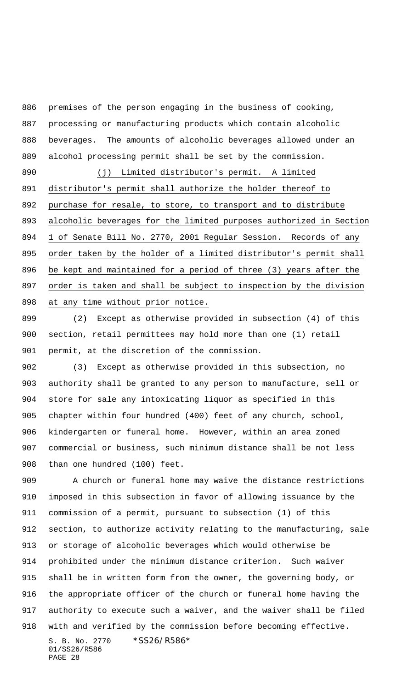premises of the person engaging in the business of cooking, processing or manufacturing products which contain alcoholic beverages. The amounts of alcoholic beverages allowed under an alcohol processing permit shall be set by the commission.

 (j) Limited distributor's permit. A limited distributor's permit shall authorize the holder thereof to purchase for resale, to store, to transport and to distribute alcoholic beverages for the limited purposes authorized in Section 1 of Senate Bill No. 2770, 2001 Regular Session. Records of any 895 order taken by the holder of a limited distributor's permit shall be kept and maintained for a period of three (3) years after the order is taken and shall be subject to inspection by the division at any time without prior notice.

 (2) Except as otherwise provided in subsection (4) of this section, retail permittees may hold more than one (1) retail permit, at the discretion of the commission.

 (3) Except as otherwise provided in this subsection, no authority shall be granted to any person to manufacture, sell or store for sale any intoxicating liquor as specified in this chapter within four hundred (400) feet of any church, school, kindergarten or funeral home. However, within an area zoned commercial or business, such minimum distance shall be not less than one hundred (100) feet.

S. B. No. 2770 \* SS26/R586\* 01/SS26/R586 909 A church or funeral home may waive the distance restrictions imposed in this subsection in favor of allowing issuance by the commission of a permit, pursuant to subsection (1) of this section, to authorize activity relating to the manufacturing, sale or storage of alcoholic beverages which would otherwise be prohibited under the minimum distance criterion. Such waiver shall be in written form from the owner, the governing body, or the appropriate officer of the church or funeral home having the authority to execute such a waiver, and the waiver shall be filed with and verified by the commission before becoming effective.

PAGE 28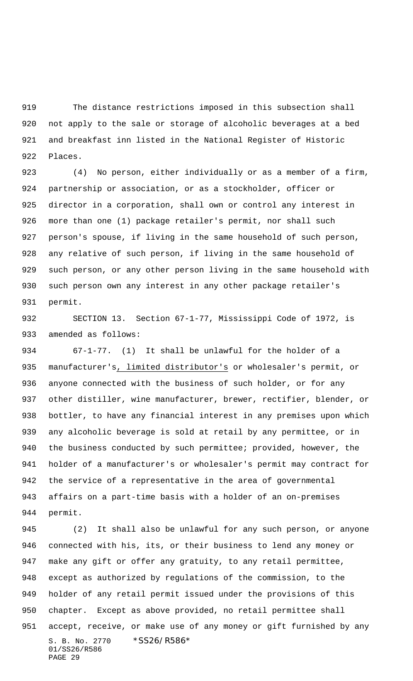The distance restrictions imposed in this subsection shall not apply to the sale or storage of alcoholic beverages at a bed and breakfast inn listed in the National Register of Historic Places.

 (4) No person, either individually or as a member of a firm, partnership or association, or as a stockholder, officer or director in a corporation, shall own or control any interest in more than one (1) package retailer's permit, nor shall such person's spouse, if living in the same household of such person, any relative of such person, if living in the same household of such person, or any other person living in the same household with such person own any interest in any other package retailer's permit.

 SECTION 13. Section 67-1-77, Mississippi Code of 1972, is amended as follows:

 67-1-77. (1) It shall be unlawful for the holder of a manufacturer's, limited distributor's or wholesaler's permit, or anyone connected with the business of such holder, or for any other distiller, wine manufacturer, brewer, rectifier, blender, or bottler, to have any financial interest in any premises upon which any alcoholic beverage is sold at retail by any permittee, or in 940 the business conducted by such permittee; provided, however, the holder of a manufacturer's or wholesaler's permit may contract for the service of a representative in the area of governmental affairs on a part-time basis with a holder of an on-premises permit.

S. B. No. 2770 \* SS26/R586\* 01/SS26/R586 PAGE 29 (2) It shall also be unlawful for any such person, or anyone connected with his, its, or their business to lend any money or make any gift or offer any gratuity, to any retail permittee, except as authorized by regulations of the commission, to the holder of any retail permit issued under the provisions of this chapter. Except as above provided, no retail permittee shall accept, receive, or make use of any money or gift furnished by any